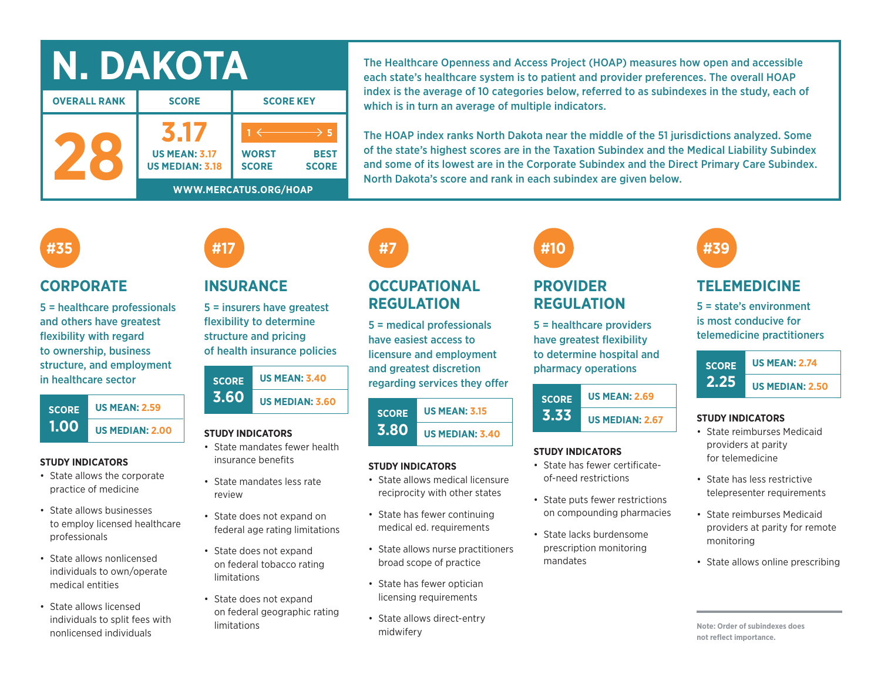| DAKOTA              |                                                |                                    |  |  |  |  |  |
|---------------------|------------------------------------------------|------------------------------------|--|--|--|--|--|
| <b>OVERALL RANK</b> | <b>SCORE</b>                                   | <b>SCORE KEY</b>                   |  |  |  |  |  |
|                     | <b>US MEAN: 3.17</b><br><b>US MEDIAN: 3.18</b> | <b>WORST</b><br><b>SCORE</b><br>SC |  |  |  |  |  |
|                     | WWW.MERCATUS.ORG/HOAP                          |                                    |  |  |  |  |  |

The Healthcare Openness and Access Project (HOAP) measures how open and accessible each state's healthcare system is to patient and provider preferences. The overall HOAP index is the average of 10 categories below, referred to as subindexes in the study, each of which is in turn an average of multiple indicators.

The HOAP index ranks North Dakota near the middle of the 51 jurisdictions analyzed. Some of the state's highest scores are in the Taxation Subindex and the Medical Liability Subindex and some of its lowest are in the Corporate Subindex and the Direct Primary Care Subindex. North Dakota's score and rank in each subindex are given below.

## **#35**

### **CORPORATE**

5 = healthcare professionals and others have greatest flexibility with regard to ownership, business structure, and employment in healthcare sector



#### **STUDY INDICATORS**

- State allows the corporate practice of medicine
- State allows businesses to employ licensed healthcare professionals
- State allows nonlicensed individuals to own/operate medical entities
- State allows licensed individuals to split fees with nonlicensed individuals

# **INSURANCE**

**#17**

5 = insurers have greatest flexibility to determine structure and pricing of health insurance policies

| <b>SCORE</b> | <b>US MEAN: 3.40</b>   |  |  |  |  |
|--------------|------------------------|--|--|--|--|
| 3.60         | <b>US MEDIAN: 3.60</b> |  |  |  |  |

#### **STUDY INDICATORS**

- State mandates fewer health insurance benefits
- State mandates less rate review
- State does not expand on federal age rating limitations
- State does not expand on federal tobacco rating limitations
- State does not expand on federal geographic rating limitations

# **#7**

**BEST SCORE**

**1 5**

## **OCCUPATIONAL REGULATION**

5 = medical professionals have easiest access to licensure and employment and greatest discretion regarding services they offer

#### **SCORE 3.80 US MEAN: 3.15 US MEDIAN: 3.40**

#### **STUDY INDICATORS**

- State allows medical licensure reciprocity with other states
- State has fewer continuing medical ed. requirements
- State allows nurse practitioners broad scope of practice
- State has fewer optician licensing requirements
- State allows direct-entry midwifery

# **#10**

## **PROVIDER REGULATION**

5 = healthcare providers have greatest flexibility to determine hospital and pharmacy operations

| <b>SCORE</b> | <b>US MEAN: 2.69</b>   |  |  |  |  |
|--------------|------------------------|--|--|--|--|
| 3.33         | <b>US MEDIAN: 2.67</b> |  |  |  |  |

#### **STUDY INDICATORS**

- State has fewer certificateof-need restrictions
- State puts fewer restrictions on compounding pharmacies
- State lacks burdensome prescription monitoring mandates



## **TELEMEDICINE**

5 = state's environment is most conducive for telemedicine practitioners



#### **STUDY INDICATORS**

- State reimburses Medicaid providers at parity for telemedicine
- State has less restrictive telepresenter requirements
- State reimburses Medicaid providers at parity for remote monitoring
- State allows online prescribing

**Note: Order of subindexes does not reflect importance.**